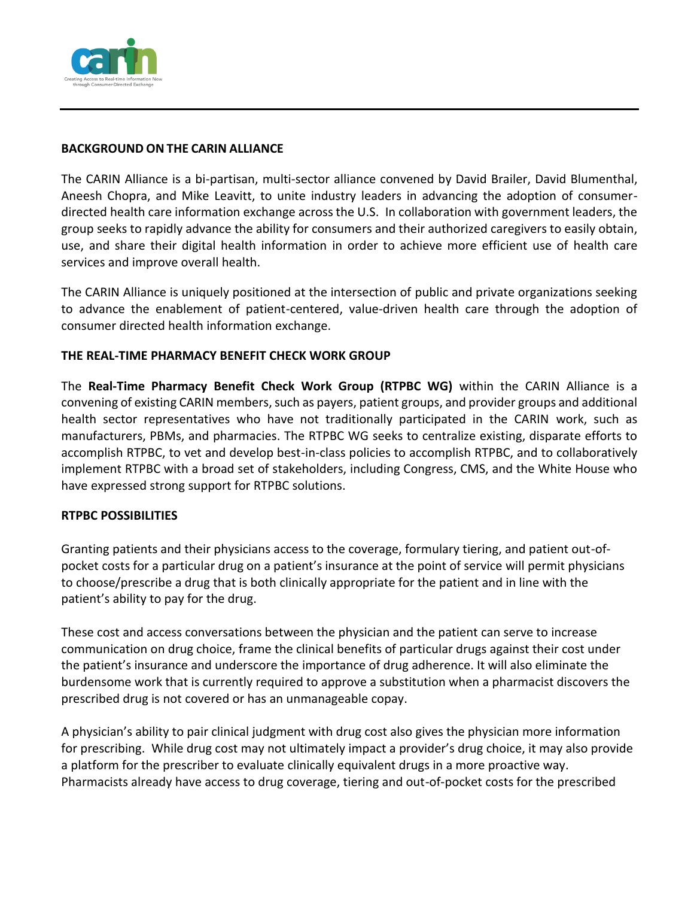

## **BACKGROUND ON THE CARIN ALLIANCE**

The CARIN Alliance is a bi-partisan, multi-sector alliance convened by David Brailer, David Blumenthal, Aneesh Chopra, and Mike Leavitt, to unite industry leaders in advancing the adoption of consumerdirected health care information exchange across the U.S. In collaboration with government leaders, the group seeks to rapidly advance the ability for consumers and their authorized caregivers to easily obtain, use, and share their digital health information in order to achieve more efficient use of health care services and improve overall health.

The CARIN Alliance is uniquely positioned at the intersection of public and private organizations seeking to advance the enablement of patient-centered, value-driven health care through the adoption of consumer directed health information exchange.

## **THE REAL-TIME PHARMACY BENEFIT CHECK WORK GROUP**

The **Real-Time Pharmacy Benefit Check Work Group (RTPBC WG)** within the CARIN Alliance is a convening of existing CARIN members, such as payers, patient groups, and provider groups and additional health sector representatives who have not traditionally participated in the CARIN work, such as manufacturers, PBMs, and pharmacies. The RTPBC WG seeks to centralize existing, disparate efforts to accomplish RTPBC, to vet and develop best-in-class policies to accomplish RTPBC, and to collaboratively implement RTPBC with a broad set of stakeholders, including Congress, CMS, and the White House who have expressed strong support for RTPBC solutions.

### **RTPBC POSSIBILITIES**

Granting patients and their physicians access to the coverage, formulary tiering, and patient out-ofpocket costs for a particular drug on a patient's insurance at the point of service will permit physicians to choose/prescribe a drug that is both clinically appropriate for the patient and in line with the patient's ability to pay for the drug.

These cost and access conversations between the physician and the patient can serve to increase communication on drug choice, frame the clinical benefits of particular drugs against their cost under the patient's insurance and underscore the importance of drug adherence. It will also eliminate the burdensome work that is currently required to approve a substitution when a pharmacist discovers the prescribed drug is not covered or has an unmanageable copay.

A physician's ability to pair clinical judgment with drug cost also gives the physician more information for prescribing. While drug cost may not ultimately impact a provider's drug choice, it may also provide a platform for the prescriber to evaluate clinically equivalent drugs in a more proactive way. Pharmacists already have access to drug coverage, tiering and out-of-pocket costs for the prescribed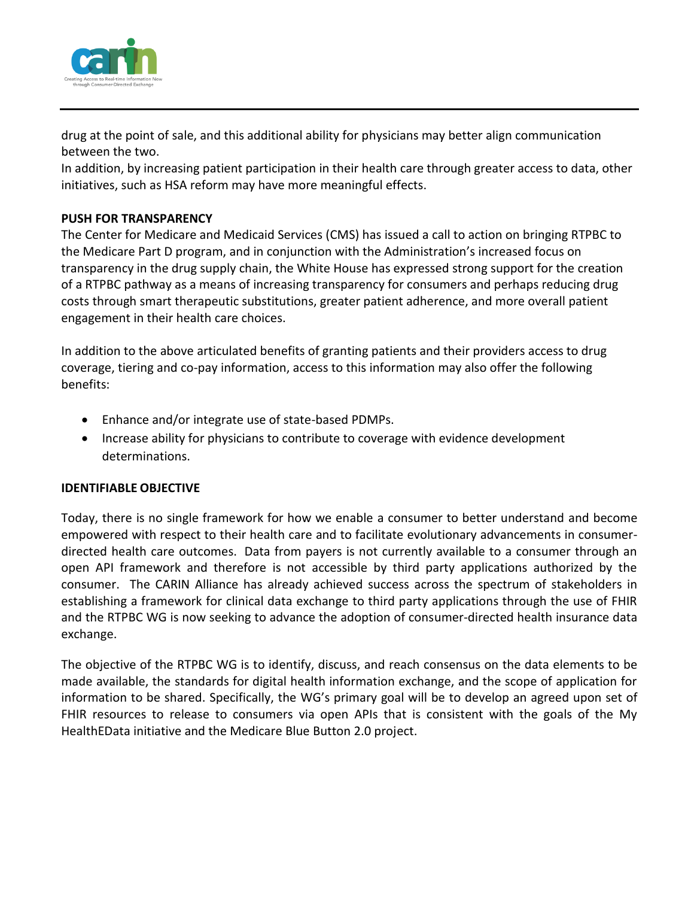

drug at the point of sale, and this additional ability for physicians may better align communication between the two.

In addition, by increasing patient participation in their health care through greater access to data, other initiatives, such as HSA reform may have more meaningful effects.

# **PUSH FOR TRANSPARENCY**

The Center for Medicare and Medicaid Services (CMS) has issued a call to action on bringing RTPBC to the Medicare Part D program, and in conjunction with the Administration's increased focus on transparency in the drug supply chain, the White House has expressed strong support for the creation of a RTPBC pathway as a means of increasing transparency for consumers and perhaps reducing drug costs through smart therapeutic substitutions, greater patient adherence, and more overall patient engagement in their health care choices.

In addition to the above articulated benefits of granting patients and their providers access to drug coverage, tiering and co-pay information, access to this information may also offer the following benefits:

- Enhance and/or integrate use of state-based PDMPs.
- Increase ability for physicians to contribute to coverage with evidence development determinations.

### **IDENTIFIABLE OBJECTIVE**

Today, there is no single framework for how we enable a consumer to better understand and become empowered with respect to their health care and to facilitate evolutionary advancements in consumerdirected health care outcomes. Data from payers is not currently available to a consumer through an open API framework and therefore is not accessible by third party applications authorized by the consumer. The CARIN Alliance has already achieved success across the spectrum of stakeholders in establishing a framework for clinical data exchange to third party applications through the use of FHIR and the RTPBC WG is now seeking to advance the adoption of consumer-directed health insurance data exchange.

The objective of the RTPBC WG is to identify, discuss, and reach consensus on the data elements to be made available, the standards for digital health information exchange, and the scope of application for information to be shared. Specifically, the WG's primary goal will be to develop an agreed upon set of FHIR resources to release to consumers via open APIs that is consistent with the goals of the My HealthEData initiative and the Medicare Blue Button 2.0 project.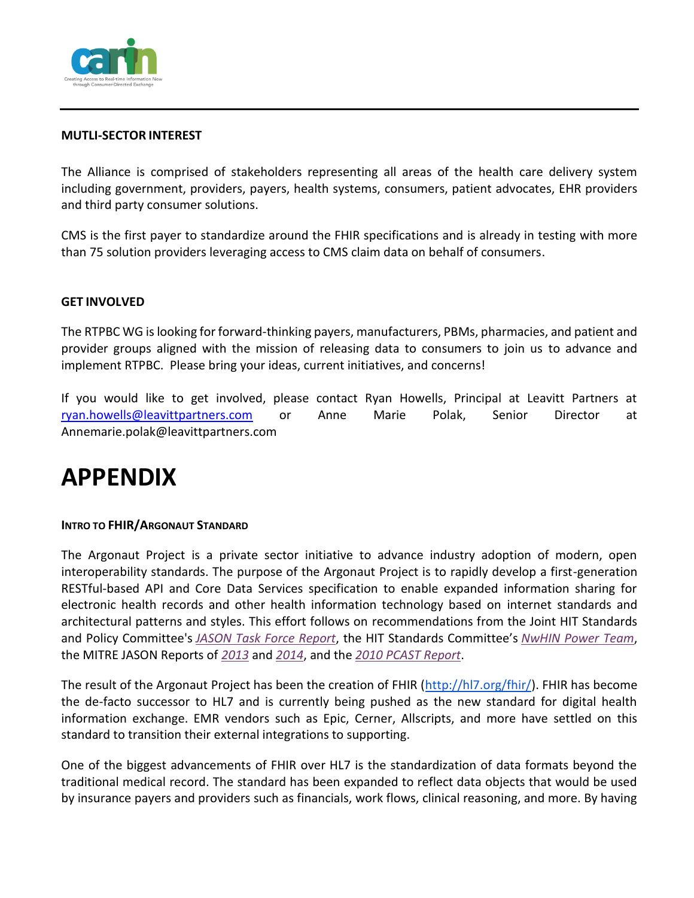

### **MUTLI-SECTOR INTEREST**

The Alliance is comprised of stakeholders representing all areas of the health care delivery system including government, providers, payers, health systems, consumers, patient advocates, EHR providers and third party consumer solutions.

CMS is the first payer to standardize around the FHIR specifications and is already in testing with more than 75 solution providers leveraging access to CMS claim data on behalf of consumers.

#### **GET INVOLVED**

The RTPBC WG is looking for forward-thinking payers, manufacturers, PBMs, pharmacies, and patient and provider groups aligned with the mission of releasing data to consumers to join us to advance and implement RTPBC. Please bring your ideas, current initiatives, and concerns!

If you would like to get involved, please contact Ryan Howells, Principal at Leavitt Partners at [ryan.howells@leavittpartners.com](mailto:ryan.howells@leavittpartners.com) or Anne Marie Polak, Senior Director at Annemarie.polak@leavittpartners.com

# **APPENDIX**

#### **INTRO TO FHIR/ARGONAUT STANDARD**

The Argonaut Project is a private sector initiative to advance industry adoption of modern, open interoperability standards. The purpose of the Argonaut Project is to rapidly develop a first-generation RESTful-based API and Core Data Services specification to enable expanded information sharing for electronic health records and other health information technology based on internet standards and architectural patterns and styles. This effort follows on recommendations from the Joint HIT Standards and Policy Committee's *[JASON Task Force Report](http://www.healthit.gov/facas/sites/faca/files/Joint_HIT_JTF%20Final%20Report%20v2_2014-10-15.pdf)*, the HIT Standards Committee's *[NwHIN Power Team](http://healthit.gov/FACAS/health-it-standards-committee/hitsc-workgroups/nationwide-health-information-network-nwhin-power)*, the MITRE JASON Reports of *[2013](http://healthit.gov/sites/default/files/ptp13-700hhs_white.pdf)* and *[2014](http://www.bostonglobe.com/business/2014/12/11/tufts/yaRVe0uBCrfE4FZlFqPFOJ/story.html)*, and the *[2010 PCAST Report](https://www.whitehouse.gov/sites/default/files/microsites/ostp/pcast-nitrd-report-2010.pdf)*.

The result of the Argonaut Project has been the creation of FHIR [\(http://hl7.org/fhir/\)](http://hl7.org/fhir/). FHIR has become the de-facto successor to HL7 and is currently being pushed as the new standard for digital health information exchange. EMR vendors such as Epic, Cerner, Allscripts, and more have settled on this standard to transition their external integrations to supporting.

One of the biggest advancements of FHIR over HL7 is the standardization of data formats beyond the traditional medical record. The standard has been expanded to reflect data objects that would be used by insurance payers and providers such as financials, work flows, clinical reasoning, and more. By having